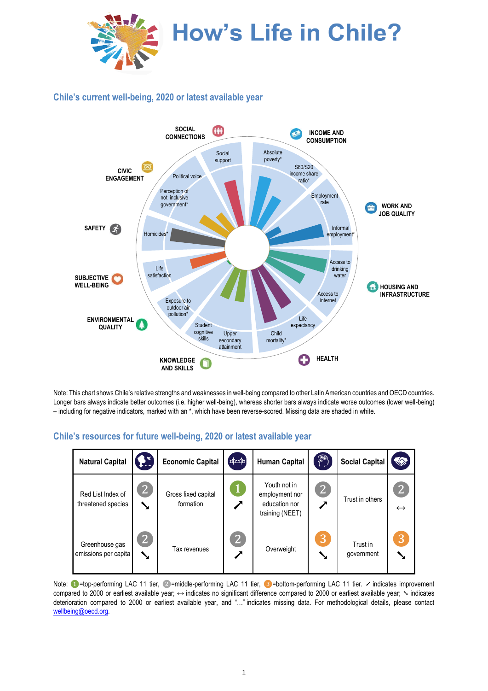

## **Chile's current well-being, 2020 or latest available year**



Note: This chart shows Chile's relative strengths and weaknesses in well-being compared to other Latin American countries and OECD countries. Longer bars always indicate better outcomes (i.e. higher well-being), whereas shorter bars always indicate worse outcomes (lower well-being) – including for negative indicators, marked with an \*, which have been reverse-scored. Missing data are shaded in white.

## **Chile's resources for future well-being, 2020 or latest available year**

| <b>Natural Capital</b>                  | $\mathbf{F}$           | <b>Economic Capital</b>          | $\left[\begin{smallmatrix} 1 & 0 \\ 0 & 1 \end{smallmatrix}\right]$ | <b>Human Capital</b>                                               | $(\circledast)$ | <b>Social Capital</b>  | <b>TANK</b>                         |
|-----------------------------------------|------------------------|----------------------------------|---------------------------------------------------------------------|--------------------------------------------------------------------|-----------------|------------------------|-------------------------------------|
| Red List Index of<br>threatened species | 2                      | Gross fixed capital<br>formation | $\mathbf{1}$                                                        | Youth not in<br>employment nor<br>education nor<br>training (NEET) | $\overline{2}$  | Trust in others        | $\overline{2}$<br>$\leftrightarrow$ |
| Greenhouse gas<br>emissions per capita  | $\vert 2 \rangle$<br>↘ | Tax revenues                     | $\overline{2}$                                                      | Overweight                                                         | 3               | Trust in<br>government | 3                                   |

Note: ●=top-performing LAC 11 tier, ②=middle-performing LAC 11 tier, ③=bottom-performing LAC 11 tier. ↗ indicates improvement compared to 2000 or earliest available year; ↔ indicates no significant difference compared to 2000 or earliest available year; ╲ indicates deterioration compared to 2000 or earliest available year, and "…" indicates missing data. For methodological details, please contact [wellbeing@oecd.org.](mailto:wellbeing@oecd.org)